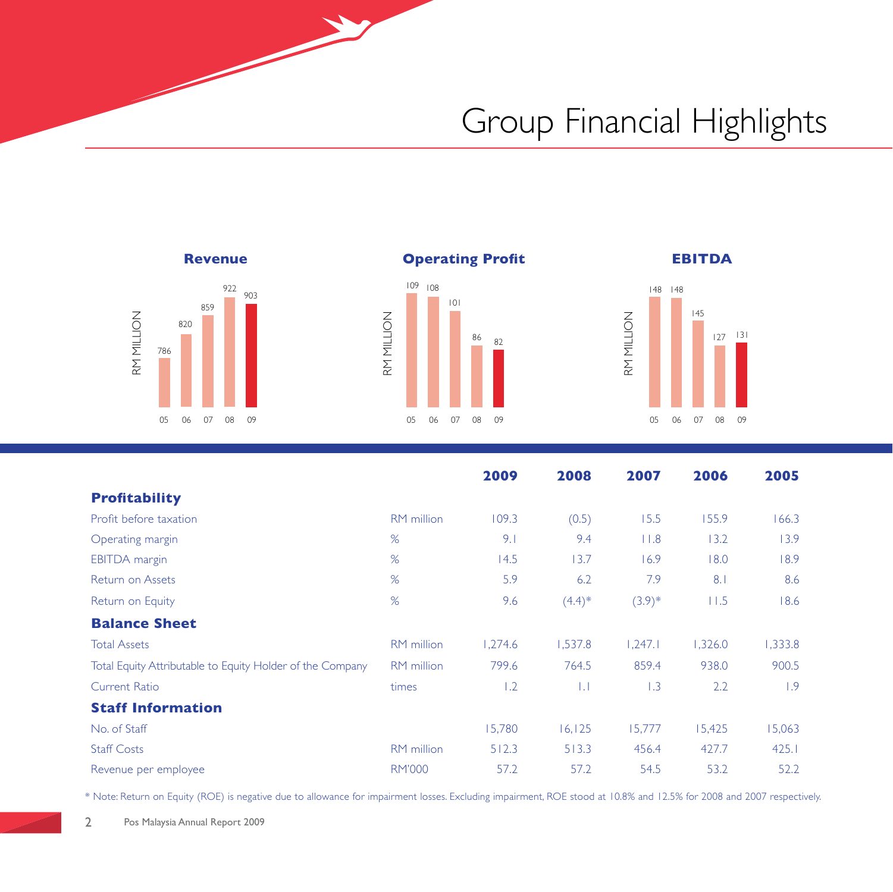## Group Financial Highlights









|                                                           |                   | 2009    | 2008     | 2007     | 2006    | 2005    |
|-----------------------------------------------------------|-------------------|---------|----------|----------|---------|---------|
| <b>Profitability</b>                                      |                   |         |          |          |         |         |
| Profit before taxation                                    | <b>RM</b> million | 109.3   | (0.5)    | 15.5     | 155.9   | 166.3   |
| Operating margin                                          | %                 | 9.1     | 9.4      | 11.8     | 13.2    | 13.9    |
| <b>EBITDA</b> margin                                      | %                 | 14.5    | 13.7     | 16.9     | 18.0    | 18.9    |
| Return on Assets                                          | %                 | 5.9     | 6.2      | 7.9      | 8.1     | 8.6     |
| Return on Equity                                          | %                 | 9.6     | $(4.4)*$ | $(3.9)*$ | 11.5    | 18.6    |
| <b>Balance Sheet</b>                                      |                   |         |          |          |         |         |
| <b>Total Assets</b>                                       | <b>RM</b> million | 1,274.6 | 1,537.8  | 1.247.1  | 1,326.0 | 1,333.8 |
| Total Equity Attributable to Equity Holder of the Company | RM million        | 799.6   | 764.5    | 859.4    | 938.0   | 900.5   |
| Current Ratio                                             | times             | 1.2     | ТJ       | 1.3      | 2.2     | 1.9     |
| <b>Staff Information</b>                                  |                   |         |          |          |         |         |
| No. of Staff                                              |                   | 15,780  | 16, 125  | 15,777   | 15,425  | 15,063  |
| <b>Staff Costs</b>                                        | RM million        | 512.3   | 513.3    | 456.4    | 427.7   | 425.1   |
| Revenue per employee                                      | <b>RM'000</b>     | 57.2    | 57.2     | 54.5     | 53.2    | 52.2    |

\* Note: Return on Equity (ROE) is negative due to allowance for impairment losses. Excluding impairment, ROE stood at 10.8% and 12.5% for 2008 and 2007 respectively.

2 Pos Malaysia Annual Report 2009